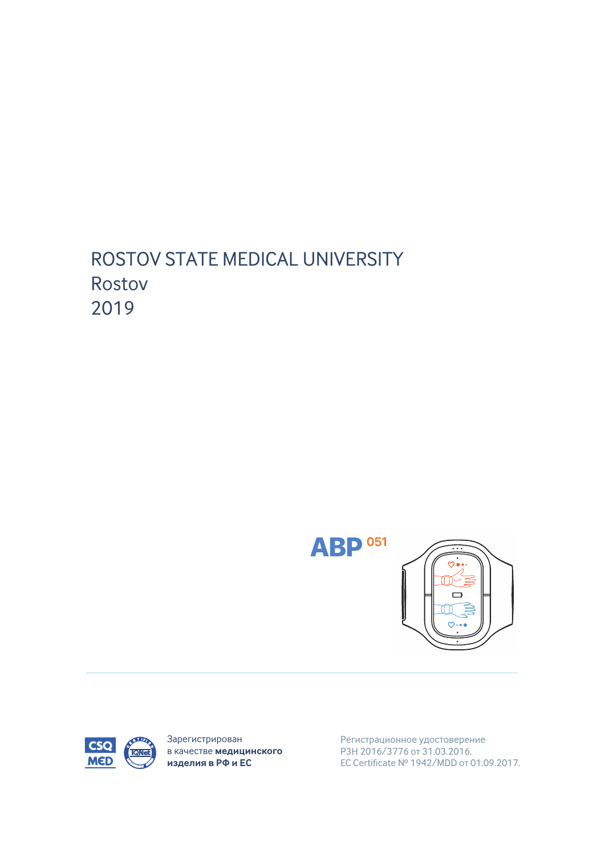## ROSTOV STATE MEDICAL UNIVERSITY Rostov 2019





Зарегистрирован в качестве медицинского изделия в РФ и ЕС

Регистрационное удостоверение P3H 2016/3776 or 31.03.2016. EC Certificate Nº 1942/MDD or 01.09.2017.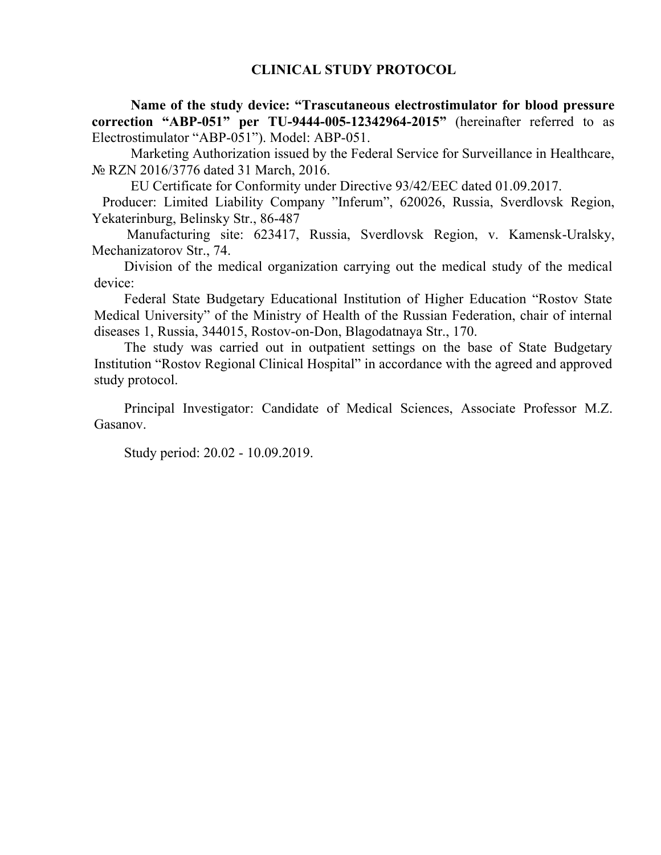**Name of the study device: "Trascutaneous electrostimulator for blood pressure correction "АВР-051" per TU-9444-005-12342964-2015"** (hereinafter referred to as Electrostimulator "АВР-051"). Model: АВР-051.

Marketing Authorization issued by the Federal Service for Surveillance in Healthcare, № RZN 2016/3776 dated 31 March, 2016.

EU Certificate for Conformity under Directive 93/42/ЕЕС dated 01.09.2017.

 Producer: Limited Liability Company "Inferum", 620026, Russia, Sverdlovsk Region, Yekaterinburg, Belinsky Str., 86-487

 Manufacturing site: 623417, Russia, Sverdlovsk Region, v. Kamensk-Uralsky, Mechanizatorov Str., 74.

Division of the medical organization carrying out the medical study of the medical device:

Federal State Budgetary Educational Institution of Higher Education "Rostov State Medical University" of the Ministry of Health of the Russian Federation, chair of internal diseases 1, Russia, 344015, Rostov-on-Don, Blagodatnaya Str., 170.

The study was carried out in outpatient settings on the base of State Budgetary Institution "Rostov Regional Clinical Hospital" in accordance with the agreed and approved study protocol.

Principal Investigator: Candidate of Medical Sciences, Associate Professor M.Z. Gasanov.

Study period: 20.02 - 10.09.2019.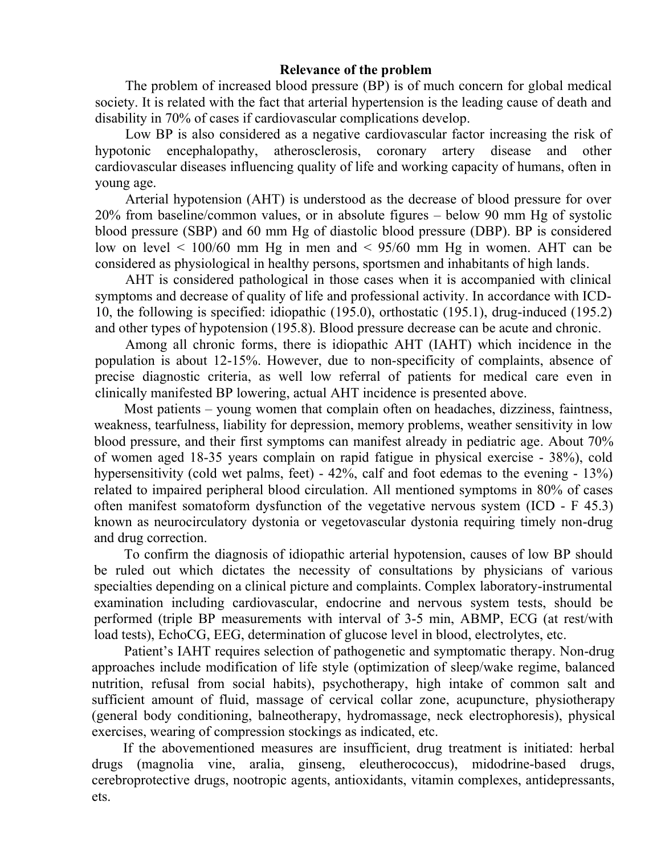## **Relevance of the problem**

The problem of increased blood pressure (BP) is of much concern for global medical society. It is related with the fact that arterial hypertension is the leading cause of death and disability in 70% of cases if cardiovascular complications develop.

Low BP is also considered as a negative cardiovascular factor increasing the risk of hypotonic encephalopathy, atherosclerosis, coronary artery disease and other cardiovascular diseases influencing quality of life and working capacity of humans, often in young age.

Arterial hypotension (AHT) is understood as the decrease of blood pressure for over 20% from baseline/common values, or in absolute figures – below 90 mm Hg of systolic blood pressure (SBP) and 60 mm Hg of diastolic blood pressure (DBP). BP is considered low on level  $\leq 100/60$  mm Hg in men and  $\leq 95/60$  mm Hg in women. AHT can be considered as physiological in healthy persons, sportsmen and inhabitants of high lands.

AHT is considered pathological in those cases when it is accompanied with clinical symptoms and decrease of quality of life and professional activity. In accordance with ICD-10, the following is specified: idiopathic (195.0), orthostatic (195.1), drug-induced (195.2) and other types of hypotension (195.8). Blood pressure decrease can be acute and chronic.

Among all chronic forms, there is idiopathic AHT (IAHT) which incidence in the population is about 12-15%. However, due to non-specificity of complaints, absence of precise diagnostic criteria, as well low referral of patients for medical care even in clinically manifested BP lowering, actual AHT incidence is presented above.

Most patients – young women that complain often on headaches, dizziness, faintness, weakness, tearfulness, liability for depression, memory problems, weather sensitivity in low blood pressure, and their first symptoms can manifest already in pediatric age. About 70% of women aged 18-35 years complain on rapid fatigue in physical exercise - 38%), cold hypersensitivity (cold wet palms, feet) - 42%, calf and foot edemas to the evening - 13%) related to impaired peripheral blood circulation. All mentioned symptoms in 80% of cases often manifest somatoform dysfunction of the vegetative nervous system (ICD - F 45.3) known as neurocirculatory dystonia or vegetovascular dystonia requiring timely non-drug and drug correction.

To confirm the diagnosis of idiopathic arterial hypotension, causes of low BP should be ruled out which dictates the necessity of consultations by physicians of various specialties depending on a clinical picture and complaints. Complex laboratory-instrumental examination including cardiovascular, endocrine and nervous system tests, should be performed (triple BP measurements with interval of 3-5 min, ABMP, ECG (at rest/with load tests), EchoCG, EEG, determination of glucose level in blood, electrolytes, etc.

Patient's IAHT requires selection of pathogenetic and symptomatic therapy. Non-drug approaches include modification of life style (optimization of sleep/wake regime, balanced nutrition, refusal from social habits), psychotherapy, high intake of common salt and sufficient amount of fluid, massage of cervical collar zone, acupuncture, physiotherapy (general body conditioning, balneotherapy, hydromassage, neck electrophoresis), physical exercises, wearing of compression stockings as indicated, etc.

If the abovementioned measures are insufficient, drug treatment is initiated: herbal drugs (magnolia vine, aralia, ginseng, eleutherococcus), midodrine-based drugs, cerebroprotective drugs, nootropic agents, antioxidants, vitamin complexes, antidepressants, ets.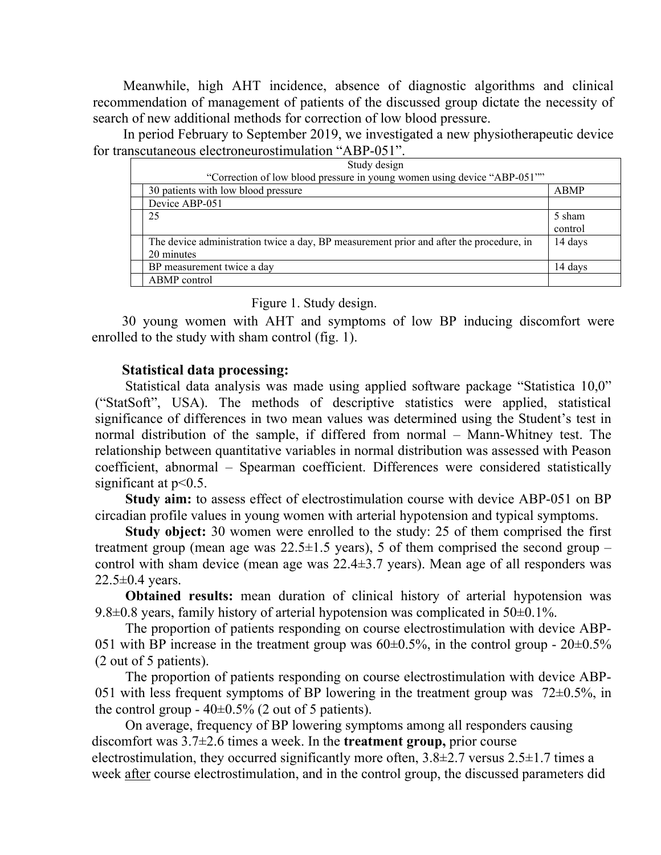Meanwhile, high AHT incidence, absence of diagnostic algorithms and clinical recommendation of management of patients of the discussed group dictate the necessity of search of new additional methods for correction of low blood pressure.

In period February to September 2019, we investigated a new physiothеrapeutic device fоr transcutaneous electroneurostimulation "АВР-051".

| Study design<br>"Correction of low blood pressure in young women using device "ABP-051"" |             |  |
|------------------------------------------------------------------------------------------|-------------|--|
| 30 patients with low blood pressure                                                      | <b>ABMP</b> |  |
| Device ABP-051                                                                           |             |  |
| 25                                                                                       | 5 sham      |  |
|                                                                                          | control     |  |
| The device administration twice a day, BP measurement prior and after the procedure, in  | 14 days     |  |
| 20 minutes                                                                               |             |  |
| BP measurement twice a day                                                               | 14 days     |  |
| ABMP control                                                                             |             |  |

Figure 1. Study design.

30 young women with AHT and symptoms of low BP inducing discomfort were enrolled to the study with sham control (fig. 1).

## **Statistical data processing:**

Statistical data analysis was made using applied software package "Statistica 10,0" ("StatSoft", USA). The methods of descriptive statistics were applied, statistical significance of differences in two mean values was determined using the Student's test in normal distribution of the sample, if differed from normal – Mann-Whitney test. The relationship between quantitative variables in normal distribution was assessed with Peason coefficient, abnormal – Spearman coefficient. Differences were considered statistically significant at  $p<0.5$ .

**Study aim:** to assess effect of electrostimulation course with device АВР-051 on BP circadian profile values in young women with arterial hypotension and typical symptoms.

**Study object:** 30 women were enrolled to the study: 25 of them comprised the first treatment group (mean age was  $22.5 \pm 1.5$  years), 5 of them comprised the second group – control with sham device (mean age was  $22.4 \pm 3.7$  years). Mean age of all responders was  $22.5 \pm 0.4$  years.

**Obtained results:** mean duration of clinical history of arterial hypotension was 9.8 $\pm$ 0.8 years, family history of arterial hypotension was complicated in 50 $\pm$ 0.1%.

The proportion of patients responding on course electrostimulation with device ABP-051 with BP increase in the treatment group was  $60\pm0.5\%$ , in the control group -  $20\pm0.5\%$ (2 out of 5 patients).

The proportion of patients responding on course electrostimulation with device ABP-051 with less frequent symptoms of BP lowering in the treatment group was  $72\pm0.5\%$ , in the control group  $-40\pm0.5\%$  (2 out of 5 patients).

On average, frequency of BP lowering symptoms among all responders causing discomfort was 3.7±2.6 times a week. In the **treatment group,** prior course electrostimulation, they occurred significantly more often,  $3.8\pm2.7$  versus  $2.5\pm1.7$  times a week after course electrostimulation, and in the control group, the discussed parameters did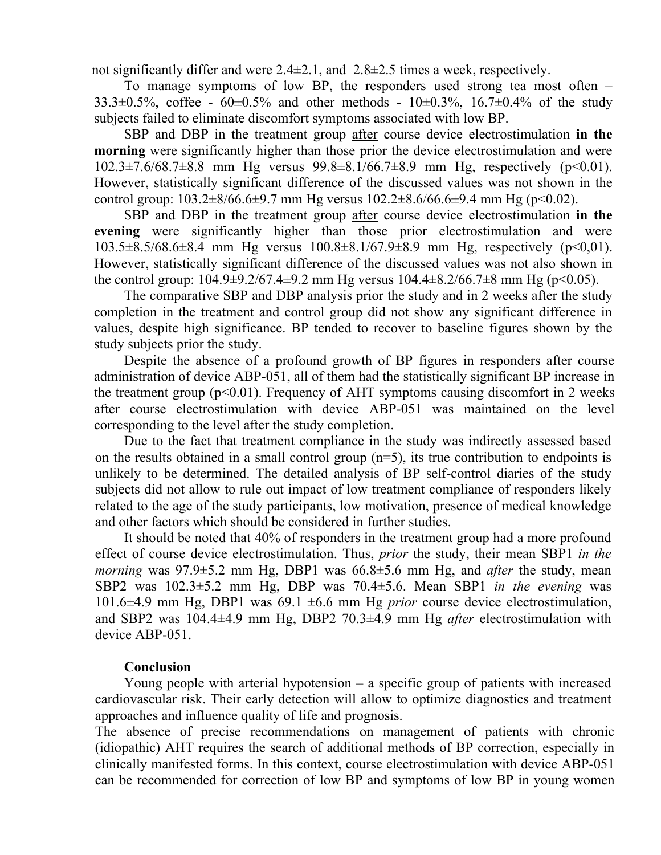not significantly differ and were  $2.4\pm2.1$ , and  $2.8\pm2.5$  times a week, respectively.

To manage symptoms of low BP, the responders used strong tea most often –  $33.3\pm0.5\%$ , coffee -  $60\pm0.5\%$  and other methods -  $10\pm0.3\%$ ,  $16.7\pm0.4\%$  of the study subjects failed to eliminate discomfort symptoms associated with low BP.

SBP and DBP in the treatment group after course device electrostimulation **in the morning** were significantly higher than those prior the device electrostimulation and were  $102.3\pm7.6/68.7\pm8.8$  mm Hg versus  $99.8\pm8.1/66.7\pm8.9$  mm Hg, respectively (p<0.01). However, statistically significant difference of the discussed values was not shown in the control group:  $103.2\pm8/66.6\pm9.7$  mm Hg versus  $102.2\pm8.6/66.6\pm9.4$  mm Hg (p<0.02).

SBP and DBP in the treatment group after course device electrostimulation **in the evening** were significantly higher than those prior electrostimulation and were 103.5±8.5/68.6±8.4 mm Hg versus 100.8±8.1/67.9±8.9 mm Hg, respectively (р<0,01). However, statistically significant difference of the discussed values was not also shown in the control group:  $104.9\pm9.2/67.4\pm9.2$  mm Hg versus  $104.4\pm8.2/66.7\pm8$  mm Hg (p<0.05).

The comparative SBP and DBP analysis prior the study and in 2 weeks after the study completion in the treatment and control group did not show any significant difference in values, despite high significance. BP tended to recover to baseline figures shown by the study subjects prior the study.

Despite the absence of a profound growth of BP figures in responders after course administration of device AВР-051, all of them had the statistically significant BP increase in the treatment group ( $p<0.01$ ). Frequency of AHT symptoms causing discomfort in 2 weeks after course electrostimulation with device АВР-051 was maintained on the level corresponding to the level after the study completion.

Due to the fact that treatment compliance in the study was indirectly assessed based on the results obtained in a small control group  $(n=5)$ , its true contribution to endpoints is unlikely to be determined. The detailed analysis of BP self-control diaries of the study subjects did not allow to rule out impact of low treatment compliance of responders likely related to the age of the study participants, low motivation, presence of medical knowledge and other factors which should be considered in further studies.

It should be noted that 40% of responders in the treatment group had a more profound effect of course device electrostimulation. Thus, *prior* the study, their mean SBP1 *in the morning* was 97.9±5.2 mm Hg, DBP1 was 66.8±5.6 mm Hg, and *after* the study, mean SBP2 was 102.3±5.2 mm Hg, DBP was 70.4±5.6. Mean SBP1 *in the evening* was 101.6±4.9 mm Hg, DBP1 was 69.1 ±6.6 mm Hg *prior* course device electrostimulation, and SBP2 was 104.4±4.9 mm Hg, DBP2 70.3±4.9 mm Hg *after* electrostimulation with device АВР-051.

## **Conclusion**

Young people with arterial hypotension  $-$  a specific group of patients with increased cardiovascular risk. Their early detection will allow to optimize diagnostics and treatment approaches and influence quality of life and prognosis.

The absence of precise recommendations on management of patients with chronic (idiopathic) AHT requires the search of additional methods of BP correction, especially in clinically manifested forms. In this context, course electrostimulation with device АВР-051 can be recommended for correction of low BP and symptoms of low BP in young women